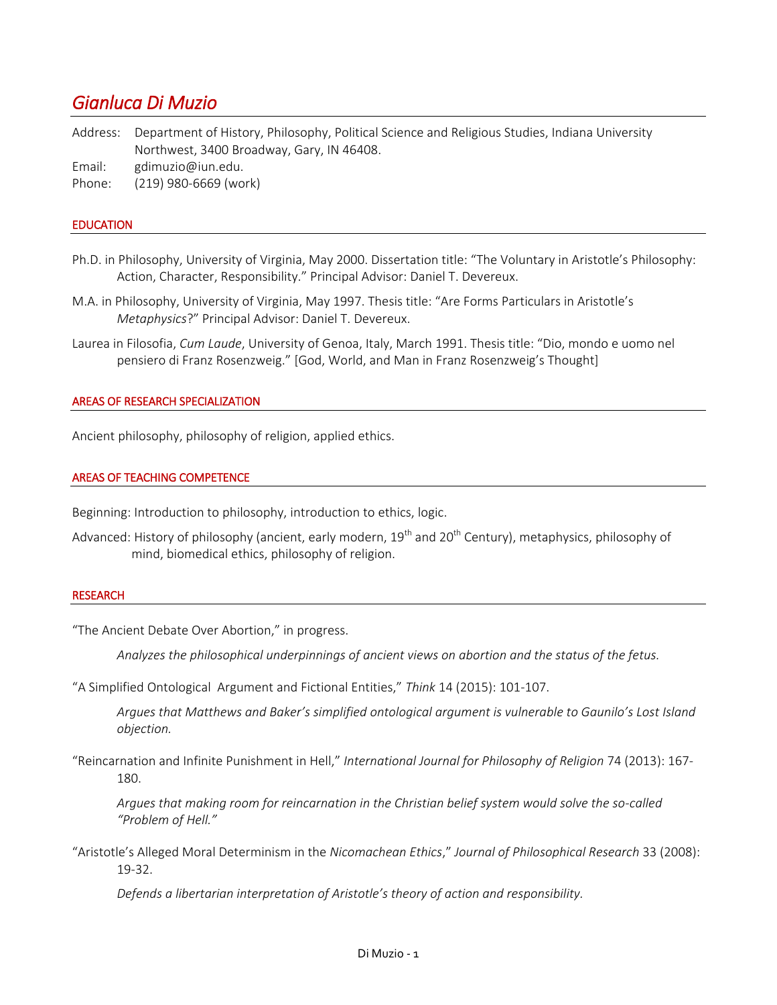# *Gianluca Di Muzio*

Address: Department of History, Philosophy, Political Science and Religious Studies, Indiana University Northwest, 3400 Broadway, Gary, IN 46408.

Email: gdimuzio@iun.edu.

Phone: (219) 980-6669 (work)

## EDUCATION

- Ph.D. in Philosophy, University of Virginia, May 2000. Dissertation title: "The Voluntary in Aristotle's Philosophy: Action, Character, Responsibility." Principal Advisor: Daniel T. Devereux.
- M.A. in Philosophy, University of Virginia, May 1997. Thesis title: "Are Forms Particulars in Aristotle's *Metaphysics*?" Principal Advisor: Daniel T. Devereux.
- Laurea in Filosofia, *Cum Laude*, University of Genoa, Italy, March 1991. Thesis title: "Dio, mondo e uomo nel pensiero di Franz Rosenzweig." [God, World, and Man in Franz Rosenzweig's Thought]

#### AREAS OF RESEARCH SPECIALIZATION

Ancient philosophy, philosophy of religion, applied ethics.

## AREAS OF TEACHING COMPETENCE

Beginning: Introduction to philosophy, introduction to ethics, logic.

Advanced: History of philosophy (ancient, early modern, 19<sup>th</sup> and 20<sup>th</sup> Century), metaphysics, philosophy of mind, biomedical ethics, philosophy of religion.

#### RESEARCH

"The Ancient Debate Over Abortion," in progress.

*Analyzes the philosophical underpinnings of ancient views on abortion and the status of the fetus.*

"A Simplified Ontological Argument and Fictional Entities," *Think* 14 (2015): 101-107.

*Argues that Matthews and Baker's simplified ontological argument is vulnerable to Gaunilo's Lost Island objection.*

"Reincarnation and Infinite Punishment in Hell," *International Journal for Philosophy of Religion* 74 (2013): 167- 180.

*Argues that making room for reincarnation in the Christian belief system would solve the so-called "Problem of Hell."*

"Aristotle's Alleged Moral Determinism in the *Nicomachean Ethics*," *Journal of Philosophical Research* 33 (2008): 19-32.

*Defends a libertarian interpretation of Aristotle's theory of action and responsibility.*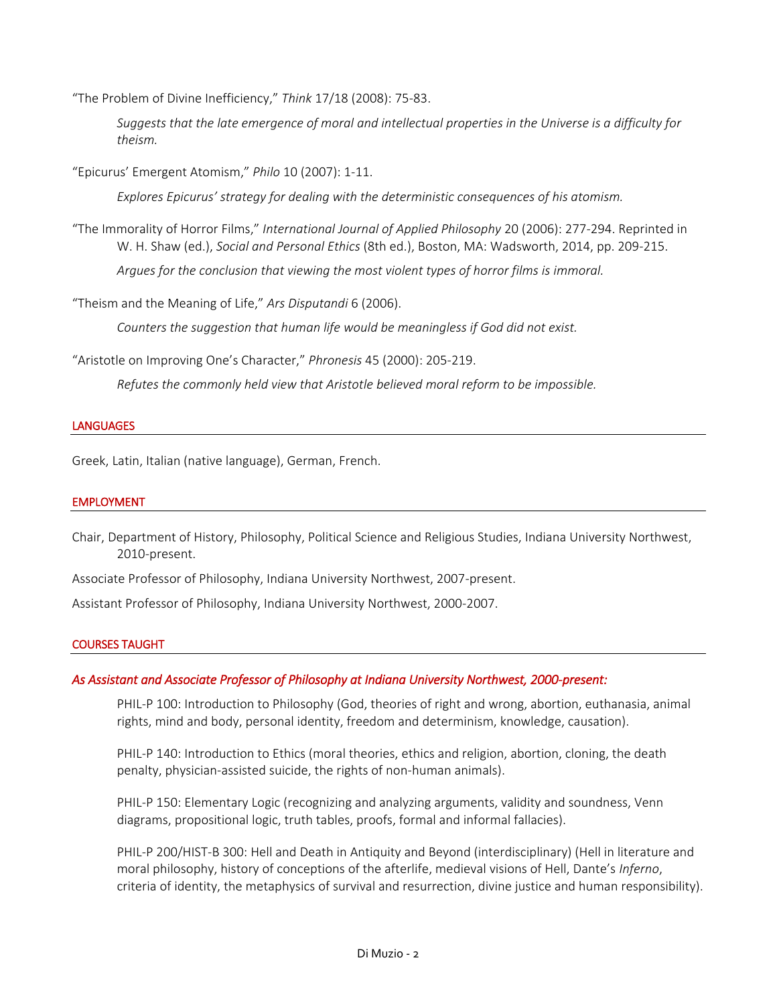"The Problem of Divine Inefficiency," *Think* 17/18 (2008): 75-83.

*Suggests that the late emergence of moral and intellectual properties in the Universe is a difficulty for theism.*

"Epicurus' Emergent Atomism," *Philo* 10 (2007): 1-11.

*Explores Epicurus' strategy for dealing with the deterministic consequences of his atomism.*

"The Immorality of Horror Films," *International Journal of Applied Philosophy* 20 (2006): 277-294. Reprinted in W. H. Shaw (ed.), *Social and Personal Ethics* (8th ed.), Boston, MA: Wadsworth, 2014, pp. 209-215.

*Argues for the conclusion that viewing the most violent types of horror films is immoral.*

"Theism and the Meaning of Life," *Ars Disputandi* 6 (2006).

*Counters the suggestion that human life would be meaningless if God did not exist.*

"Aristotle on Improving One's Character," *Phronesis* 45 (2000): 205-219.

*Refutes the commonly held view that Aristotle believed moral reform to be impossible.*

## **LANGUAGES**

Greek, Latin, Italian (native language), German, French.

## EMPLOYMENT

Chair, Department of History, Philosophy, Political Science and Religious Studies, Indiana University Northwest, 2010-present.

Associate Professor of Philosophy, Indiana University Northwest, 2007-present.

Assistant Professor of Philosophy, Indiana University Northwest, 2000-2007.

## COURSES TAUGHT

## *As Assistant and Associate Professor of Philosophy at Indiana University Northwest, 2000-present:*

PHIL-P 100: Introduction to Philosophy (God, theories of right and wrong, abortion, euthanasia, animal rights, mind and body, personal identity, freedom and determinism, knowledge, causation).

PHIL-P 140: Introduction to Ethics (moral theories, ethics and religion, abortion, cloning, the death penalty, physician-assisted suicide, the rights of non-human animals).

PHIL-P 150: Elementary Logic (recognizing and analyzing arguments, validity and soundness, Venn diagrams, propositional logic, truth tables, proofs, formal and informal fallacies).

PHIL-P 200/HIST-B 300: Hell and Death in Antiquity and Beyond (interdisciplinary) (Hell in literature and moral philosophy, history of conceptions of the afterlife, medieval visions of Hell, Dante's *Inferno*, criteria of identity, the metaphysics of survival and resurrection, divine justice and human responsibility).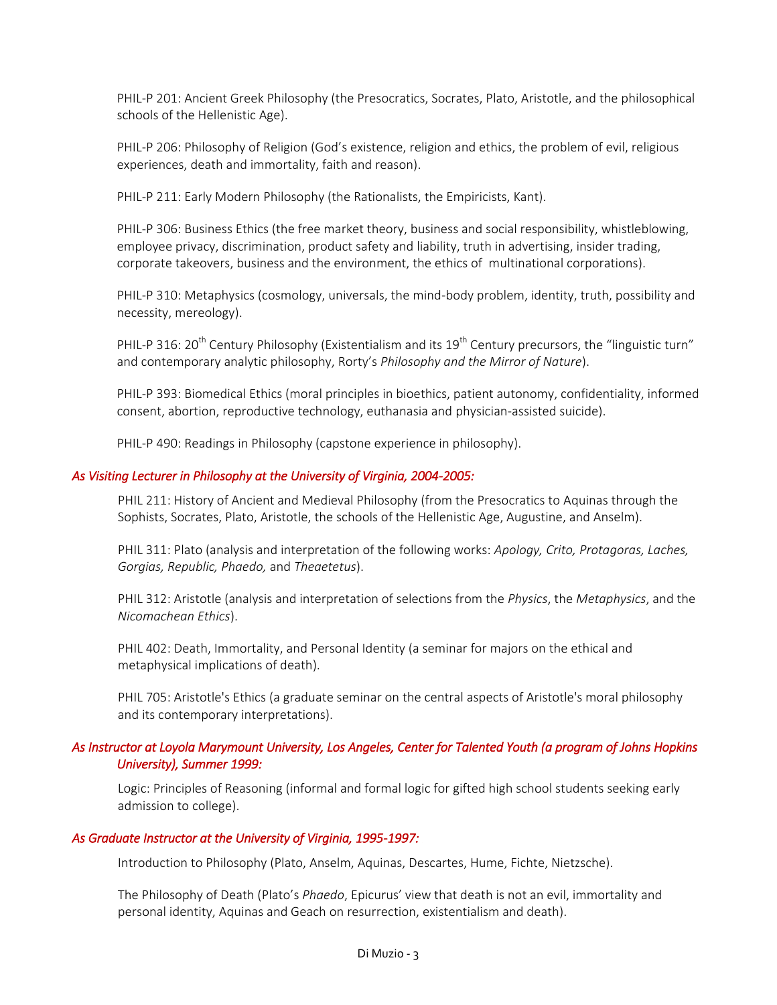PHIL-P 201: Ancient Greek Philosophy (the Presocratics, Socrates, Plato, Aristotle, and the philosophical schools of the Hellenistic Age).

PHIL-P 206: Philosophy of Religion (God's existence, religion and ethics, the problem of evil, religious experiences, death and immortality, faith and reason).

PHIL-P 211: Early Modern Philosophy (the Rationalists, the Empiricists, Kant).

PHIL-P 306: Business Ethics (the free market theory, business and social responsibility, whistleblowing, employee privacy, discrimination, product safety and liability, truth in advertising, insider trading, corporate takeovers, business and the environment, the ethics of multinational corporations).

PHIL-P 310: Metaphysics (cosmology, universals, the mind-body problem, identity, truth, possibility and necessity, mereology).

PHIL-P 316: 20<sup>th</sup> Century Philosophy (Existentialism and its 19<sup>th</sup> Century precursors, the "linguistic turn" and contemporary analytic philosophy, Rorty's *Philosophy and the Mirror of Nature*).

PHIL-P 393: Biomedical Ethics (moral principles in bioethics, patient autonomy, confidentiality, informed consent, abortion, reproductive technology, euthanasia and physician-assisted suicide).

PHIL-P 490: Readings in Philosophy (capstone experience in philosophy).

## *As Visiting Lecturer in Philosophy at the University of Virginia, 2004-2005:*

PHIL 211: History of Ancient and Medieval Philosophy (from the Presocratics to Aquinas through the Sophists, Socrates, Plato, Aristotle, the schools of the Hellenistic Age, Augustine, and Anselm).

PHIL 311: Plato (analysis and interpretation of the following works: *Apology, Crito, Protagoras, Laches, Gorgias, Republic, Phaedo,* and *Theaetetus*).

PHIL 312: Aristotle (analysis and interpretation of selections from the *Physics*, the *Metaphysics*, and the *Nicomachean Ethics*).

PHIL 402: Death, Immortality, and Personal Identity (a seminar for majors on the ethical and metaphysical implications of death).

PHIL 705: Aristotle's Ethics (a graduate seminar on the central aspects of Aristotle's moral philosophy and its contemporary interpretations).

# *As Instructor at Loyola Marymount University, Los Angeles, Center for Talented Youth (a program of Johns Hopkins University), Summer 1999:*

Logic: Principles of Reasoning (informal and formal logic for gifted high school students seeking early admission to college).

## *As Graduate Instructor at the University of Virginia, 1995-1997:*

Introduction to Philosophy (Plato, Anselm, Aquinas, Descartes, Hume, Fichte, Nietzsche).

The Philosophy of Death (Plato's *Phaedo*, Epicurus' view that death is not an evil, immortality and personal identity, Aquinas and Geach on resurrection, existentialism and death).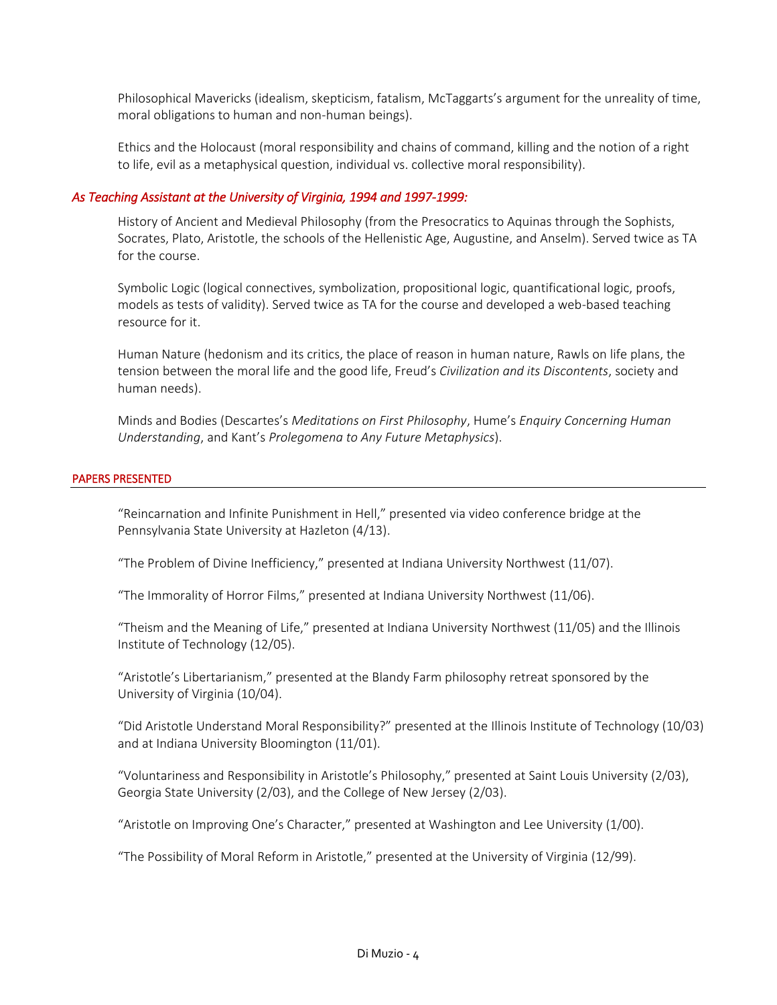Philosophical Mavericks (idealism, skepticism, fatalism, McTaggarts's argument for the unreality of time, moral obligations to human and non-human beings).

Ethics and the Holocaust (moral responsibility and chains of command, killing and the notion of a right to life, evil as a metaphysical question, individual vs. collective moral responsibility).

## *As Teaching Assistant at the University of Virginia, 1994 and 1997-1999:*

History of Ancient and Medieval Philosophy (from the Presocratics to Aquinas through the Sophists, Socrates, Plato, Aristotle, the schools of the Hellenistic Age, Augustine, and Anselm). Served twice as TA for the course.

Symbolic Logic (logical connectives, symbolization, propositional logic, quantificational logic, proofs, models as tests of validity). Served twice as TA for the course and developed a web-based teaching resource for it.

Human Nature (hedonism and its critics, the place of reason in human nature, Rawls on life plans, the tension between the moral life and the good life, Freud's *Civilization and its Discontents*, society and human needs).

Minds and Bodies (Descartes's *Meditations on First Philosophy*, Hume's *Enquiry Concerning Human Understanding*, and Kant's *Prolegomena to Any Future Metaphysics*).

## PAPERS PRESENTED

"Reincarnation and Infinite Punishment in Hell," presented via video conference bridge at the Pennsylvania State University at Hazleton (4/13).

"The Problem of Divine Inefficiency," presented at Indiana University Northwest (11/07).

"The Immorality of Horror Films," presented at Indiana University Northwest (11/06).

"Theism and the Meaning of Life," presented at Indiana University Northwest (11/05) and the Illinois Institute of Technology (12/05).

"Aristotle's Libertarianism," presented at the Blandy Farm philosophy retreat sponsored by the University of Virginia (10/04).

"Did Aristotle Understand Moral Responsibility?" presented at the Illinois Institute of Technology (10/03) and at Indiana University Bloomington (11/01).

"Voluntariness and Responsibility in Aristotle's Philosophy," presented at Saint Louis University (2/03), Georgia State University (2/03), and the College of New Jersey (2/03).

"Aristotle on Improving One's Character," presented at Washington and Lee University (1/00).

"The Possibility of Moral Reform in Aristotle," presented at the University of Virginia (12/99).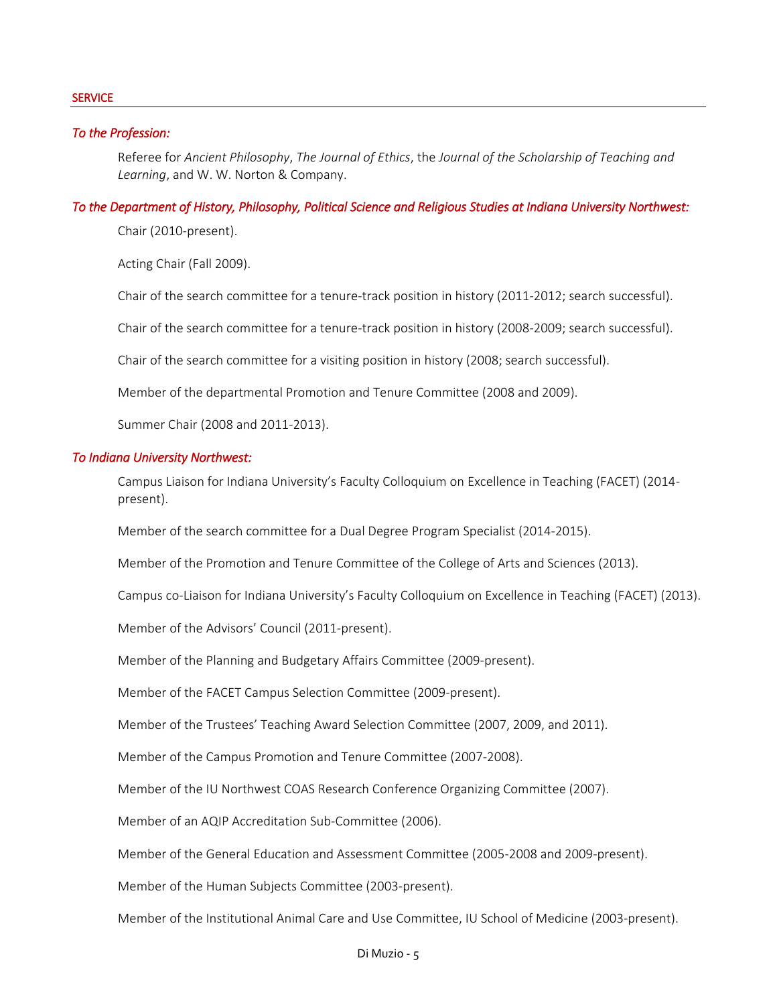## *To the Profession:*

Referee for *Ancient Philosophy*, *The Journal of Ethics*, the *Journal of the Scholarship of Teaching and Learning*, and W. W. Norton & Company.

## *To the Department of History, Philosophy, Political Science and Religious Studies at Indiana University Northwest:*

Chair (2010-present).

Acting Chair (Fall 2009).

Chair of the search committee for a tenure-track position in history (2011-2012; search successful).

Chair of the search committee for a tenure-track position in history (2008-2009; search successful).

Chair of the search committee for a visiting position in history (2008; search successful).

Member of the departmental Promotion and Tenure Committee (2008 and 2009).

Summer Chair (2008 and 2011-2013).

## *To Indiana University Northwest:*

Campus Liaison for Indiana University's Faculty Colloquium on Excellence in Teaching (FACET) (2014 present).

Member of the search committee for a Dual Degree Program Specialist (2014-2015).

Member of the Promotion and Tenure Committee of the College of Arts and Sciences (2013).

Campus co-Liaison for Indiana University's Faculty Colloquium on Excellence in Teaching (FACET) (2013).

Member of the Advisors' Council (2011-present).

Member of the Planning and Budgetary Affairs Committee (2009-present).

Member of the FACET Campus Selection Committee (2009-present).

Member of the Trustees' Teaching Award Selection Committee (2007, 2009, and 2011).

Member of the Campus Promotion and Tenure Committee (2007-2008).

Member of the IU Northwest COAS Research Conference Organizing Committee (2007).

Member of an AQIP Accreditation Sub-Committee (2006).

Member of the General Education and Assessment Committee (2005-2008 and 2009-present).

Member of the Human Subjects Committee (2003-present).

Member of the Institutional Animal Care and Use Committee, IU School of Medicine (2003-present).